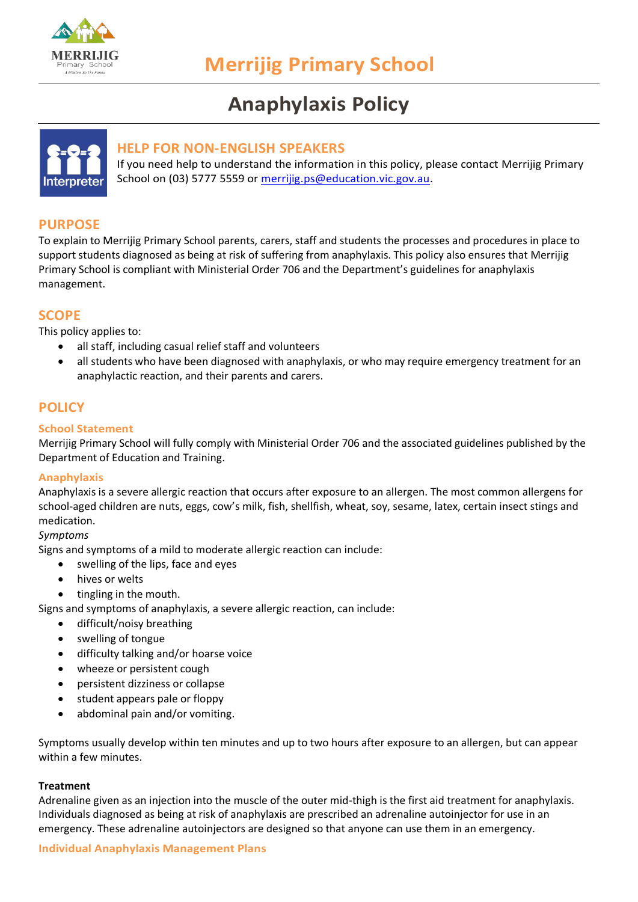

# **Anaphylaxis Policy**



## **HELP FOR NON-ENGLISH SPEAKERS**

If you need help to understand the information in this policy, please contact Merrijig Primary School on (03) 5777 5559 or [merrijig.ps@education.vic.gov.au.](mailto:merrijig.ps@education.vic.gov.au)

# **PURPOSE**

To explain to Merrijig Primary School parents, carers, staff and students the processes and procedures in place to support students diagnosed as being at risk of suffering from anaphylaxis. This policy also ensures that Merrijig Primary School is compliant with Ministerial Order 706 and the Department's guidelines for anaphylaxis management.

## **SCOPE**

This policy applies to:

- all staff, including casual relief staff and volunteers
- all students who have been diagnosed with anaphylaxis, or who may require emergency treatment for an anaphylactic reaction, and their parents and carers.

# **POLICY**

#### **School Statement**

Merrijig Primary School will fully comply with Ministerial Order 706 and the associated guidelines published by the Department of Education and Training.

#### **Anaphylaxis**

Anaphylaxis is a severe allergic reaction that occurs after exposure to an allergen. The most common allergens for school-aged children are nuts, eggs, cow's milk, fish, shellfish, wheat, soy, sesame, latex, certain insect stings and medication.

#### *Symptoms*

Signs and symptoms of a mild to moderate allergic reaction can include:

- swelling of the lips, face and eyes
- hives or welts
- tingling in the mouth.

Signs and symptoms of anaphylaxis, a severe allergic reaction, can include:

- difficult/noisy breathing
- swelling of tongue
- difficulty talking and/or hoarse voice
- wheeze or persistent cough
- persistent dizziness or collapse
- student appears pale or floppy
- abdominal pain and/or vomiting.

Symptoms usually develop within ten minutes and up to two hours after exposure to an allergen, but can appear within a few minutes.

#### **Treatment**

Adrenaline given as an injection into the muscle of the outer mid-thigh is the first aid treatment for anaphylaxis. Individuals diagnosed as being at risk of anaphylaxis are prescribed an adrenaline autoinjector for use in an emergency. These adrenaline autoinjectors are designed so that anyone can use them in an emergency.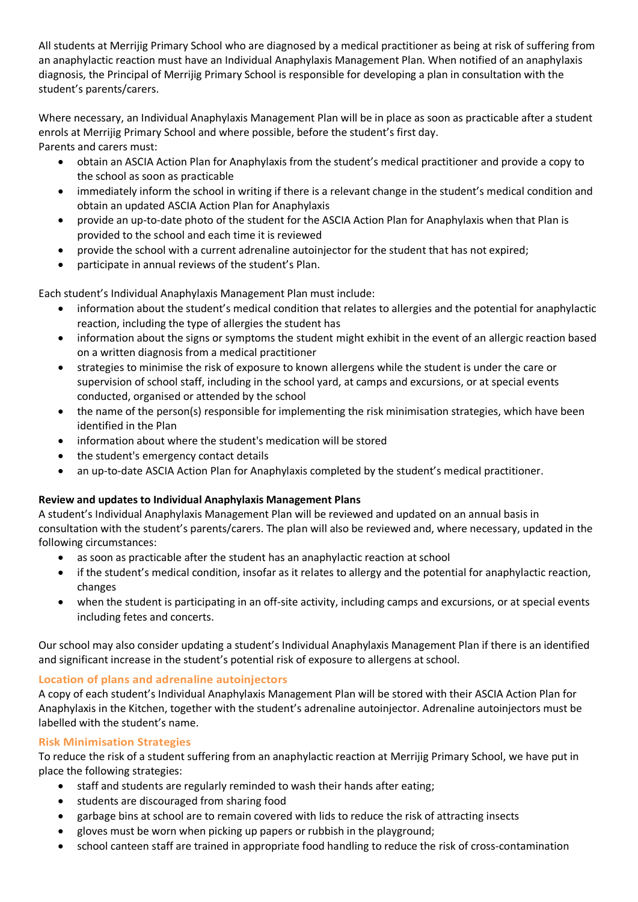All students at Merrijig Primary School who are diagnosed by a medical practitioner as being at risk of suffering from an anaphylactic reaction must have an Individual Anaphylaxis Management Plan. When notified of an anaphylaxis diagnosis, the Principal of Merrijig Primary School is responsible for developing a plan in consultation with the student's parents/carers.

Where necessary, an Individual Anaphylaxis Management Plan will be in place as soon as practicable after a student enrols at Merrijig Primary School and where possible, before the student's first day. Parents and carers must:

- obtain an ASCIA Action Plan for Anaphylaxis from the student's medical practitioner and provide a copy to the school as soon as practicable
- immediately inform the school in writing if there is a relevant change in the student's medical condition and obtain an updated ASCIA Action Plan for Anaphylaxis
- provide an up-to-date photo of the student for the ASCIA Action Plan for Anaphylaxis when that Plan is provided to the school and each time it is reviewed
- provide the school with a current adrenaline autoinjector for the student that has not expired;
- participate in annual reviews of the student's Plan.

Each student's Individual Anaphylaxis Management Plan must include:

- information about the student's medical condition that relates to allergies and the potential for anaphylactic reaction, including the type of allergies the student has
- information about the signs or symptoms the student might exhibit in the event of an allergic reaction based on a written diagnosis from a medical practitioner
- strategies to minimise the risk of exposure to known allergens while the student is under the care or supervision of school staff, including in the school yard, at camps and excursions, or at special events conducted, organised or attended by the school
- the name of the person(s) responsible for implementing the risk minimisation strategies, which have been identified in the Plan
- information about where the student's medication will be stored
- the student's emergency contact details
- an up-to-date ASCIA Action Plan for Anaphylaxis completed by the student's medical practitioner.

## **Review and updates to Individual Anaphylaxis Management Plans**

A student's Individual Anaphylaxis Management Plan will be reviewed and updated on an annual basis in consultation with the student's parents/carers. The plan will also be reviewed and, where necessary, updated in the following circumstances:

- as soon as practicable after the student has an anaphylactic reaction at school
- if the student's medical condition, insofar as it relates to allergy and the potential for anaphylactic reaction, changes
- when the student is participating in an off-site activity, including camps and excursions, or at special events including fetes and concerts.

Our school may also consider updating a student's Individual Anaphylaxis Management Plan if there is an identified and significant increase in the student's potential risk of exposure to allergens at school.

## **Location of plans and adrenaline autoinjectors**

A copy of each student's Individual Anaphylaxis Management Plan will be stored with their ASCIA Action Plan for Anaphylaxis in the Kitchen, together with the student's adrenaline autoinjector. Adrenaline autoinjectors must be labelled with the student's name.

## **Risk Minimisation Strategies**

To reduce the risk of a student suffering from an anaphylactic reaction at Merrijig Primary School, we have put in place the following strategies:

- staff and students are regularly reminded to wash their hands after eating;
- students are discouraged from sharing food
- garbage bins at school are to remain covered with lids to reduce the risk of attracting insects
- gloves must be worn when picking up papers or rubbish in the playground;
- school canteen staff are trained in appropriate food handling to reduce the risk of cross-contamination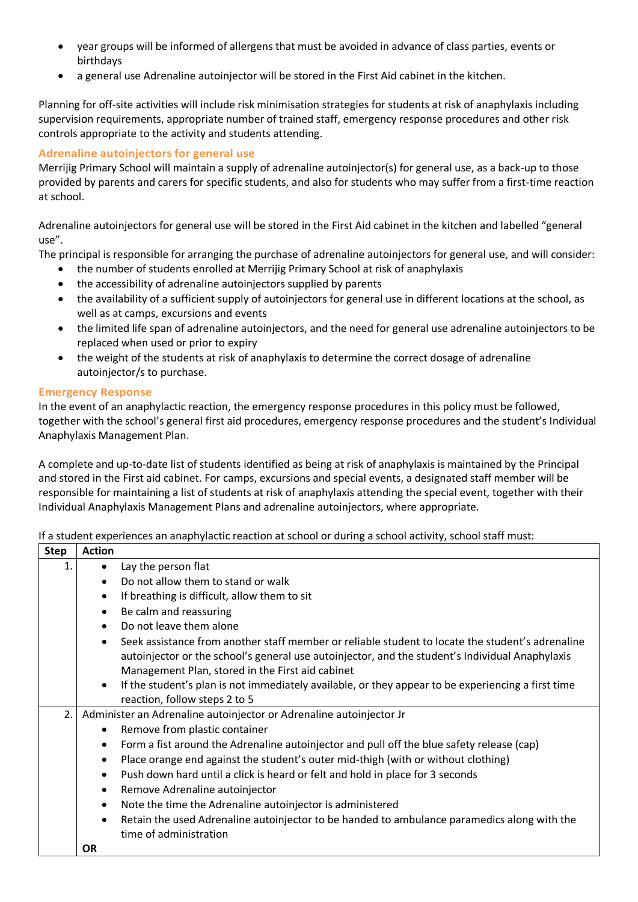- year groups will be informed of allergens that must be avoided in advance of class parties, events or birthdays
- a general use Adrenaline autoinjector will be stored in the First Aid cabinet in the kitchen.

Planning for off-site activities will include risk minimisation strategies for students at risk of anaphylaxis including supervision requirements, appropriate number of trained staff, emergency response procedures and other risk controls appropriate to the activity and students attending.

## **Adrenaline autoinjectors for general use**

Merrijig Primary School will maintain a supply of adrenaline autoinjector(s) for general use, as a back-up to those provided by parents and carers for specific students, and also for students who may suffer from a first-time reaction at school.

Adrenaline autoinjectors for general use will be stored in the First Aid cabinet in the kitchen and labelled "general use".

The principal is responsible for arranging the purchase of adrenaline autoinjectors for general use, and will consider:

- the number of students enrolled at Merrijig Primary School at risk of anaphylaxis
- the accessibility of adrenaline autoinjectors supplied by parents
- the availability of a sufficient supply of autoinjectors for general use in different locations at the school, as well as at camps, excursions and events
- the limited life span of adrenaline autoinjectors, and the need for general use adrenaline autoinjectors to be replaced when used or prior to expiry
- the weight of the students at risk of anaphylaxis to determine the correct dosage of adrenaline autoinjector/s to purchase.

#### **Emergency Response**

In the event of an anaphylactic reaction, the emergency response procedures in this policy must be followed, together with the school's general first aid procedures, emergency response procedures and the student's Individual Anaphylaxis Management Plan.

A complete and up-to-date list of students identified as being at risk of anaphylaxis is maintained by the Principal and stored in the First aid cabinet. For camps, excursions and special events, a designated staff member will be responsible for maintaining a list of students at risk of anaphylaxis attending the special event, together with their Individual Anaphylaxis Management Plans and adrenaline autoinjectors, where appropriate.

If a student experiences an anaphylactic reaction at school or during a school activity, school staff must:

| <b>Step</b> | <b>Action</b>                                                       |                                                                                                                                                                                                                                                         |
|-------------|---------------------------------------------------------------------|---------------------------------------------------------------------------------------------------------------------------------------------------------------------------------------------------------------------------------------------------------|
| 1.          | $\bullet$                                                           | Lay the person flat                                                                                                                                                                                                                                     |
|             | $\bullet$                                                           | Do not allow them to stand or walk                                                                                                                                                                                                                      |
|             | $\bullet$                                                           | If breathing is difficult, allow them to sit                                                                                                                                                                                                            |
|             | $\bullet$                                                           | Be calm and reassuring                                                                                                                                                                                                                                  |
|             | $\bullet$                                                           | Do not leave them alone                                                                                                                                                                                                                                 |
|             |                                                                     | Seek assistance from another staff member or reliable student to locate the student's adrenaline<br>autoinjector or the school's general use autoinjector, and the student's Individual Anaphylaxis<br>Management Plan, stored in the First aid cabinet |
|             | $\bullet$                                                           | If the student's plan is not immediately available, or they appear to be experiencing a first time<br>reaction, follow steps 2 to 5                                                                                                                     |
| 2.          | Administer an Adrenaline autoinjector or Adrenaline autoinjector Jr |                                                                                                                                                                                                                                                         |
|             | $\bullet$                                                           | Remove from plastic container                                                                                                                                                                                                                           |
|             | $\bullet$                                                           | Form a fist around the Adrenaline autoinjector and pull off the blue safety release (cap)                                                                                                                                                               |
|             | $\bullet$                                                           | Place orange end against the student's outer mid-thigh (with or without clothing)                                                                                                                                                                       |
|             | $\bullet$                                                           | Push down hard until a click is heard or felt and hold in place for 3 seconds                                                                                                                                                                           |
|             | ٠                                                                   | Remove Adrenaline autoinjector                                                                                                                                                                                                                          |
|             | $\bullet$                                                           | Note the time the Adrenaline autoinjector is administered                                                                                                                                                                                               |
|             | $\bullet$                                                           | Retain the used Adrenaline autoinjector to be handed to ambulance paramedics along with the                                                                                                                                                             |
|             | <b>OR</b>                                                           | time of administration                                                                                                                                                                                                                                  |
|             |                                                                     |                                                                                                                                                                                                                                                         |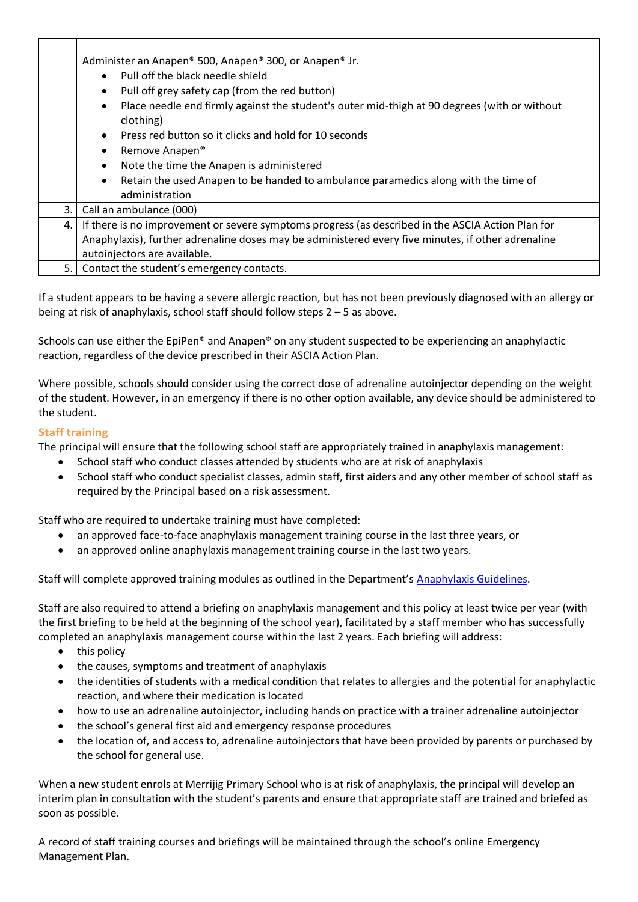|      | Administer an Anapen® 500, Anapen® 300, or Anapen® Jr.                                                                 |  |  |  |
|------|------------------------------------------------------------------------------------------------------------------------|--|--|--|
|      | Pull off the black needle shield                                                                                       |  |  |  |
|      | Pull off grey safety cap (from the red button)<br>$\bullet$                                                            |  |  |  |
|      | Place needle end firmly against the student's outer mid-thigh at 90 degrees (with or without<br>$\bullet$<br>clothing) |  |  |  |
|      | Press red button so it clicks and hold for 10 seconds<br>$\bullet$                                                     |  |  |  |
|      | Remove Anapen <sup>®</sup><br>$\bullet$                                                                                |  |  |  |
|      | Note the time the Anapen is administered                                                                               |  |  |  |
|      | Retain the used Anapen to be handed to ambulance paramedics along with the time of<br>$\bullet$                        |  |  |  |
|      | administration                                                                                                         |  |  |  |
| 3.   | Call an ambulance (000)                                                                                                |  |  |  |
| 4. I | If there is no improvement or severe symptoms progress (as described in the ASCIA Action Plan for                      |  |  |  |
|      | Anaphylaxis), further adrenaline doses may be administered every five minutes, if other adrenaline                     |  |  |  |
|      | autoinjectors are available.                                                                                           |  |  |  |
| 5.1  | Contact the student's emergency contacts.                                                                              |  |  |  |

If a student appears to be having a severe allergic reaction, but has not been previously diagnosed with an allergy or being at risk of anaphylaxis, school staff should follow steps 2 – 5 as above.

Schools can use either the EpiPen® and Anapen® on any student suspected to be experiencing an anaphylactic reaction, regardless of the device prescribed in their ASCIA Action Plan.

Where possible, schools should consider using the correct dose of adrenaline autoinjector depending on the weight of the student. However, in an emergency if there is no other option available, any device should be administered to the student.

## **Staff training**

The principal will ensure that the following school staff are appropriately trained in anaphylaxis management:

- School staff who conduct classes attended by students who are at risk of anaphylaxis
- School staff who conduct specialist classes, admin staff, first aiders and any other member of school staff as required by the Principal based on a risk assessment.

Staff who are required to undertake training must have completed:

- an approved face-to-face anaphylaxis management training course in the last three years, or
- an approved online anaphylaxis management training course in the last two years.

Staff will complete approved training modules as outlined in the Department's [Anaphylaxis Guidelines.](https://www2.education.vic.gov.au/pal/anaphylaxis/guidance/5-staff-training)

Staff are also required to attend a briefing on anaphylaxis management and this policy at least twice per year (with the first briefing to be held at the beginning of the school year), facilitated by a staff member who has successfully completed an anaphylaxis management course within the last 2 years. Each briefing will address:

- this policy
- the causes, symptoms and treatment of anaphylaxis
- the identities of students with a medical condition that relates to allergies and the potential for anaphylactic reaction, and where their medication is located
- how to use an adrenaline autoinjector, including hands on practice with a trainer adrenaline autoinjector
- the school's general first aid and emergency response procedures
- the location of, and access to, adrenaline autoinjectors that have been provided by parents or purchased by the school for general use.

When a new student enrols at Merrijig Primary School who is at risk of anaphylaxis, the principal will develop an interim plan in consultation with the student's parents and ensure that appropriate staff are trained and briefed as soon as possible.

A record of staff training courses and briefings will be maintained through the school's online Emergency Management Plan.